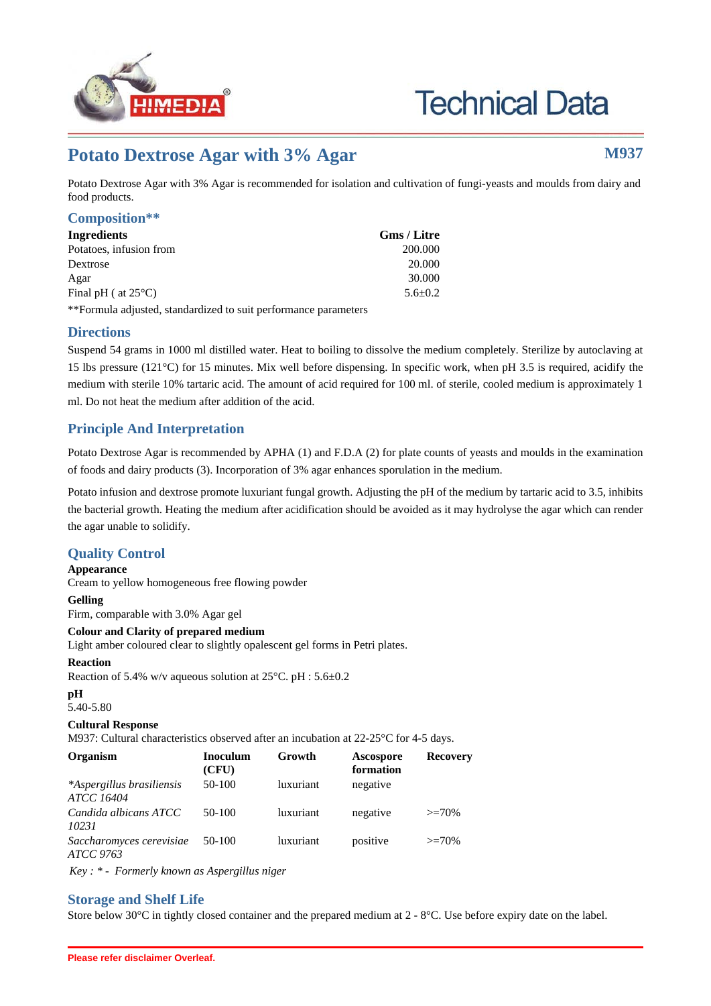

# **Technical Data**

# Potato Dextrose Agar with 3% Agar **M937**

Potato Dextrose Agar with 3% Agar is recommended for isolation and cultivation of fungi-yeasts and moulds from dairy and food products.

#### **Composition\*\***

| Ingredients                                                     | <b>Gms</b> / Litre |  |
|-----------------------------------------------------------------|--------------------|--|
| Potatoes, infusion from                                         | 200.000            |  |
| Dextrose                                                        | 20,000             |  |
| Agar                                                            | 30.000             |  |
| Final pH ( at $25^{\circ}$ C)                                   | $5.6 + 0.2$        |  |
| **Formula adjusted, standardized to suit performance parameters |                    |  |

#### **Directions**

Suspend 54 grams in 1000 ml distilled water. Heat to boiling to dissolve the medium completely. Sterilize by autoclaving at 15 lbs pressure (121°C) for 15 minutes. Mix well before dispensing. In specific work, when pH 3.5 is required, acidify the medium with sterile 10% tartaric acid. The amount of acid required for 100 ml. of sterile, cooled medium is approximately 1 ml. Do not heat the medium after addition of the acid.

## **Principle And Interpretation**

Potato Dextrose Agar is recommended by APHA (1) and F.D.A (2) for plate counts of yeasts and moulds in the examination of foods and dairy products (3). Incorporation of 3% agar enhances sporulation in the medium.

Potato infusion and dextrose promote luxuriant fungal growth. Adjusting the pH of the medium by tartaric acid to 3.5, inhibits the bacterial growth. Heating the medium after acidification should be avoided as it may hydrolyse the agar which can render the agar unable to solidify.

### **Quality Control**

**Appearance** Cream to yellow homogeneous free flowing powder

#### **Gelling**

Firm, comparable with 3.0% Agar gel

#### **Colour and Clarity of prepared medium**

Light amber coloured clear to slightly opalescent gel forms in Petri plates.

#### **Reaction**

Reaction of 5.4% w/v aqueous solution at 25°C. pH : 5.6±0.2

# **pH**

# 5.40-5.80

### **Cultural Response**

M937: Cultural characteristics observed after an incubation at 22-25°C for 4-5 days.

| Organism                                       | <b>Inoculum</b><br>(CFU) | Growth           | <b>Ascospore</b><br>formation | <b>Recovery</b> |
|------------------------------------------------|--------------------------|------------------|-------------------------------|-----------------|
| *Aspergillus brasiliensis<br><b>ATCC 16404</b> | 50-100                   | <i>luxuriant</i> | negative                      |                 |
| Candida albicans ATCC<br>10231                 | $50-100$                 | luxuriant        | negative                      | $>=70%$         |
| Saccharomyces cerevisiae<br>ATCC 9763          | 50-100                   | luxuriant        | positive                      | $>=70%$         |

*Key : \* - Formerly known as Aspergillus niger*

#### **Storage and Shelf Life**

Store below 30 $^{\circ}$ C in tightly closed container and the prepared medium at 2 -  $8^{\circ}$ C. Use before expiry date on the label.